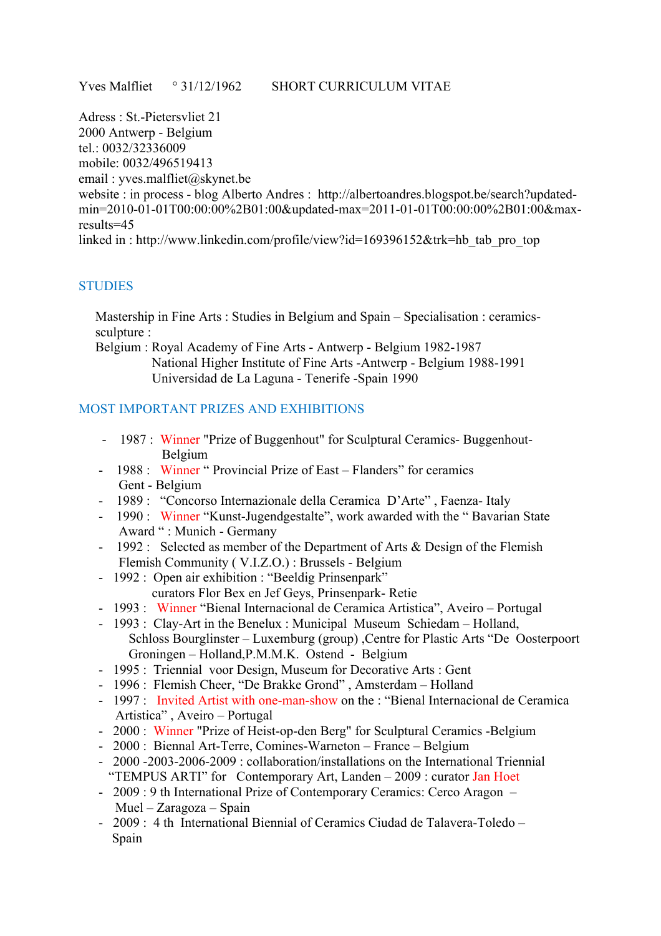Adress : St.-Pietersvliet 21

2000 Antwerp - Belgium

tel.: 0032/32336009

mobile: 0032/496519413 email : yves.malfliet@skynet.be

website : in process - blog Alberto Andres : http://albertoandres.blogspot.be/search?updatedmin=2010-01-01T00:00:00%2B01:00&updated-max=2011-01-01T00:00:00%2B01:00&maxresults=45

linked in : http://www.linkedin.com/profile/view?id=169396152&trk=hb\_tab\_pro\_top

## **STUDIES**

 Mastership in Fine Arts : Studies in Belgium and Spain – Specialisation : ceramics sculpture :

 Belgium : Royal Academy of Fine Arts - Antwerp - Belgium 1982-1987 National Higher Institute of Fine Arts -Antwerp - Belgium 1988-1991 Universidad de La Laguna - Tenerife -Spain 1990

## MOST IMPORTANT PRIZES AND EXHIBITIONS

- 1987 : Winner "Prize of Buggenhout" for Sculptural Ceramics- Buggenhout- Belgium
- 1988 Winner " Provincial Prize of East Flanders" for ceramics Gent - Belgium
- 1989 : "Concorso Internazionale della Ceramica D'Arte" , Faenza- Italy
- 1990 : Winner "Kunst-Jugendgestalte", work awarded with the "Bavarian State" Award " : Munich - Germany
- 1992 : Selected as member of the Department of Arts & Design of the Flemish Flemish Community ( V.I.Z.O.) : Brussels - Belgium
- 1992 : Open air exhibition : "Beeldig Prinsenpark"
	- curators Flor Bex en Jef Geys, Prinsenpark- Retie
- 1993 : Winner "Bienal Internacional de Ceramica Artistica", Aveiro Portugal
- 1993 : Clay-Art in the Benelux : Municipal Museum Schiedam Holland, Schloss Bourglinster – Luxemburg (group) ,Centre for Plastic Arts "De Oosterpoort Groningen – Holland,P.M.M.K. Ostend - Belgium
- 1995 : Triennial voor Design, Museum for Decorative Arts : Gent
- 1996 : Flemish Cheer, "De Brakke Grond" , Amsterdam Holland
- 1997 : Invited Artist with one-man-show on the : "Bienal Internacional de Ceramica Artistica" , Aveiro – Portugal
- 2000 : Winner "Prize of Heist-op-den Berg" for Sculptural Ceramics -Belgium
- 2000 : Biennal Art-Terre, Comines-Warneton France Belgium
- 2000 -2003-2006-2009 : collaboration/installations on the International Triennial "TEMPUS ARTI" for Contemporary Art, Landen – 2009 : curator Jan Hoet
- 2009 : 9 th International Prize of Contemporary Ceramics: Cerco Aragon Muel – Zaragoza – Spain
- 2009 : 4 th International Biennial of Ceramics Ciudad de Talavera-Toledo Spain